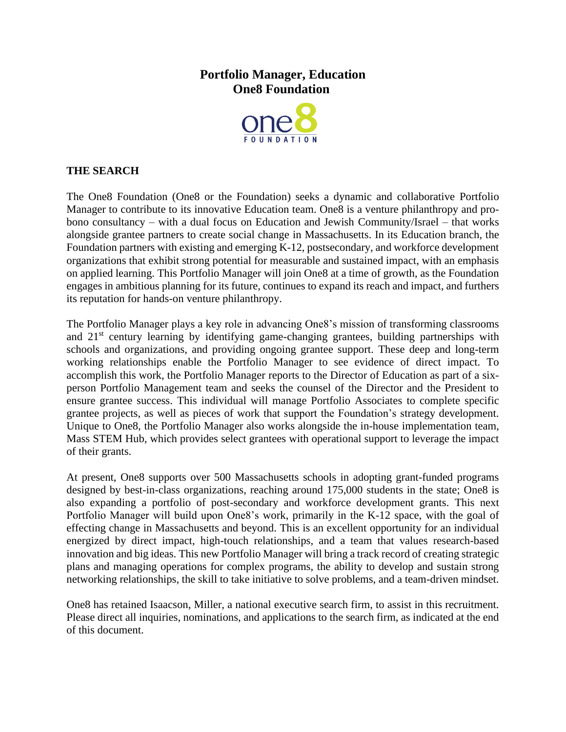# **Portfolio Manager, Education One8 Foundation**



# **THE SEARCH**

The One8 Foundation (One8 or the Foundation) seeks a dynamic and collaborative Portfolio Manager to contribute to its innovative Education team. One8 is a venture philanthropy and probono consultancy – with a dual focus on Education and Jewish Community/Israel – that works alongside grantee partners to create social change in Massachusetts. In its Education branch, the Foundation partners with existing and emerging K-12, postsecondary, and workforce development organizations that exhibit strong potential for measurable and sustained impact, with an emphasis on applied learning. This Portfolio Manager will join One8 at a time of growth, as the Foundation engages in ambitious planning for its future, continues to expand its reach and impact, and furthers its reputation for hands-on venture philanthropy.

The Portfolio Manager plays a key role in advancing One8's mission of transforming classrooms and 21<sup>st</sup> century learning by identifying game-changing grantees, building partnerships with schools and organizations, and providing ongoing grantee support. These deep and long-term working relationships enable the Portfolio Manager to see evidence of direct impact. To accomplish this work, the Portfolio Manager reports to the Director of Education as part of a sixperson Portfolio Management team and seeks the counsel of the Director and the President to ensure grantee success. This individual will manage Portfolio Associates to complete specific grantee projects, as well as pieces of work that support the Foundation's strategy development. Unique to One8, the Portfolio Manager also works alongside the in-house implementation team, Mass STEM Hub, which provides select grantees with operational support to leverage the impact of their grants.

At present, One8 supports over 500 Massachusetts schools in adopting grant-funded programs designed by best-in-class organizations, reaching around 175,000 students in the state; One8 is also expanding a portfolio of post-secondary and workforce development grants. This next Portfolio Manager will build upon One8's work, primarily in the K-12 space, with the goal of effecting change in Massachusetts and beyond. This is an excellent opportunity for an individual energized by direct impact, high-touch relationships, and a team that values research-based innovation and big ideas. This new Portfolio Manager will bring a track record of creating strategic plans and managing operations for complex programs, the ability to develop and sustain strong networking relationships, the skill to take initiative to solve problems, and a team-driven mindset.

One8 has retained Isaacson, Miller, a national executive search firm, to assist in this recruitment. Please direct all inquiries, nominations, and applications to the search firm, as indicated at the end of this document.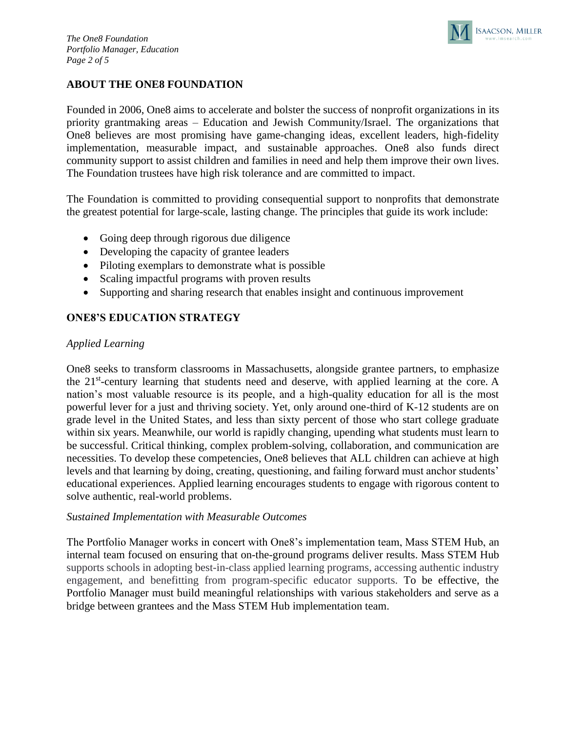

# **ABOUT THE ONE8 FOUNDATION**

Founded in 2006, One8 aims to accelerate and bolster the success of nonprofit organizations in its priority grantmaking areas – Education and Jewish Community/Israel. The organizations that One8 believes are most promising have game-changing ideas, excellent leaders, high-fidelity implementation, measurable impact, and sustainable approaches. One8 also funds direct community support to assist children and families in need and help them improve their own lives. The Foundation trustees have high risk tolerance and are committed to impact.

The Foundation is committed to providing consequential support to nonprofits that demonstrate the greatest potential for large-scale, lasting change. The principles that guide its work include:

- Going deep through rigorous due diligence
- Developing the capacity of grantee leaders
- Piloting exemplars to demonstrate what is possible
- Scaling impactful programs with proven results
- Supporting and sharing research that enables insight and continuous improvement

# **ONE8'S EDUCATION STRATEGY**

# *Applied Learning*

One8 seeks to transform classrooms in Massachusetts, alongside grantee partners, to emphasize the 21<sup>st</sup>-century learning that students need and deserve, with applied learning at the core. A nation's most valuable resource is its people, and a high-quality education for all is the most powerful lever for a just and thriving society. Yet, only around one-third of K-12 students are on grade level in the United States, and less than sixty percent of those who start college graduate within six years. Meanwhile, our world is rapidly changing, upending what students must learn to be successful. Critical thinking, complex problem-solving, collaboration, and communication are necessities. To develop these competencies, One8 believes that ALL children can achieve at high levels and that learning by doing, creating, questioning, and failing forward must anchor students' educational experiences. Applied learning encourages students to engage with rigorous content to solve authentic, real-world problems.

#### *Sustained Implementation with Measurable Outcomes*

The Portfolio Manager works in concert with One8's implementation team, Mass STEM Hub, an internal team focused on ensuring that on-the-ground programs deliver results. Mass STEM Hub supports schools in adopting best-in-class applied learning programs, accessing authentic industry engagement, and benefitting from program-specific educator supports. To be effective, the Portfolio Manager must build meaningful relationships with various stakeholders and serve as a bridge between grantees and the Mass STEM Hub implementation team.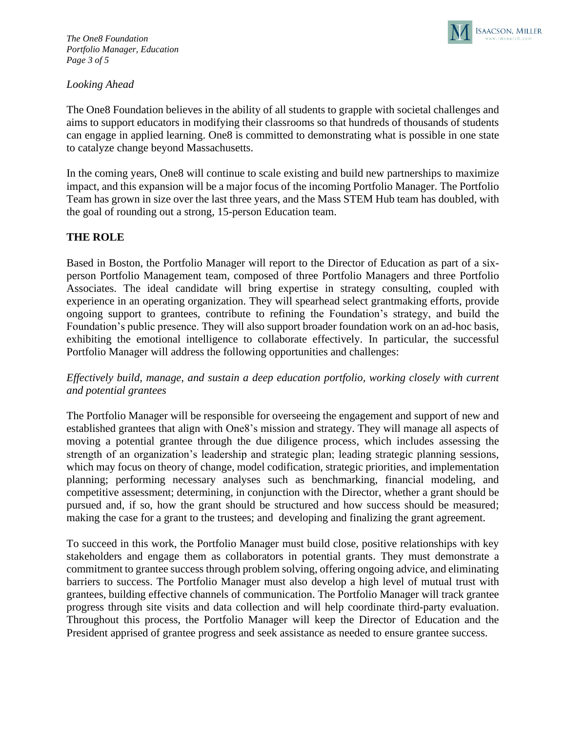

# *Looking Ahead*

The One8 Foundation believes in the ability of all students to grapple with societal challenges and aims to support educators in modifying their classrooms so that hundreds of thousands of students can engage in applied learning. One8 is committed to demonstrating what is possible in one state to catalyze change beyond Massachusetts.

In the coming years, One8 will continue to scale existing and build new partnerships to maximize impact, and this expansion will be a major focus of the incoming Portfolio Manager. The Portfolio Team has grown in size over the last three years, and the Mass STEM Hub team has doubled, with the goal of rounding out a strong, 15-person Education team.

#### **THE ROLE**

Based in Boston, the Portfolio Manager will report to the Director of Education as part of a sixperson Portfolio Management team, composed of three Portfolio Managers and three Portfolio Associates. The ideal candidate will bring expertise in strategy consulting, coupled with experience in an operating organization. They will spearhead select grantmaking efforts, provide ongoing support to grantees, contribute to refining the Foundation's strategy, and build the Foundation's public presence. They will also support broader foundation work on an ad-hoc basis, exhibiting the emotional intelligence to collaborate effectively. In particular, the successful Portfolio Manager will address the following opportunities and challenges:

*Effectively build, manage, and sustain a deep education portfolio, working closely with current and potential grantees* 

The Portfolio Manager will be responsible for overseeing the engagement and support of new and established grantees that align with One8's mission and strategy. They will manage all aspects of moving a potential grantee through the due diligence process, which includes assessing the strength of an organization's leadership and strategic plan; leading strategic planning sessions, which may focus on theory of change, model codification, strategic priorities, and implementation planning; performing necessary analyses such as benchmarking, financial modeling, and competitive assessment; determining, in conjunction with the Director, whether a grant should be pursued and, if so, how the grant should be structured and how success should be measured; making the case for a grant to the trustees; and developing and finalizing the grant agreement.

To succeed in this work, the Portfolio Manager must build close, positive relationships with key stakeholders and engage them as collaborators in potential grants. They must demonstrate a commitment to grantee success through problem solving, offering ongoing advice, and eliminating barriers to success. The Portfolio Manager must also develop a high level of mutual trust with grantees, building effective channels of communication. The Portfolio Manager will track grantee progress through site visits and data collection and will help coordinate third-party evaluation. Throughout this process, the Portfolio Manager will keep the Director of Education and the President apprised of grantee progress and seek assistance as needed to ensure grantee success.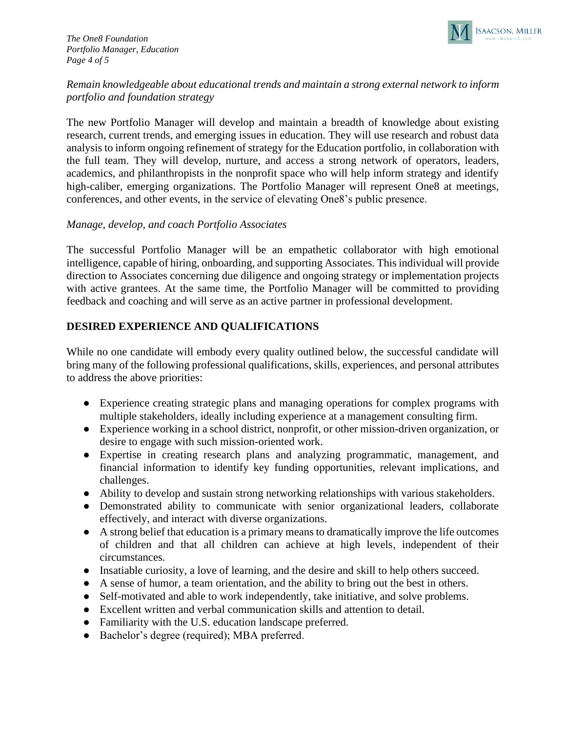*The One8 Foundation Portfolio Manager, Education Page 4 of 5*



# *Remain knowledgeable about educational trends and maintain a strong external network to inform portfolio and foundation strategy*

The new Portfolio Manager will develop and maintain a breadth of knowledge about existing research, current trends, and emerging issues in education. They will use research and robust data analysis to inform ongoing refinement of strategy for the Education portfolio, in collaboration with the full team. They will develop, nurture, and access a strong network of operators, leaders, academics, and philanthropists in the nonprofit space who will help inform strategy and identify high-caliber, emerging organizations. The Portfolio Manager will represent One8 at meetings, conferences, and other events, in the service of elevating One8's public presence.

#### *Manage, develop, and coach Portfolio Associates*

The successful Portfolio Manager will be an empathetic collaborator with high emotional intelligence, capable of hiring, onboarding, and supporting Associates. This individual will provide direction to Associates concerning due diligence and ongoing strategy or implementation projects with active grantees. At the same time, the Portfolio Manager will be committed to providing feedback and coaching and will serve as an active partner in professional development.

# **DESIRED EXPERIENCE AND QUALIFICATIONS**

While no one candidate will embody every quality outlined below, the successful candidate will bring many of the following professional qualifications, skills, experiences, and personal attributes to address the above priorities:

- Experience creating strategic plans and managing operations for complex programs with multiple stakeholders, ideally including experience at a management consulting firm.
- Experience working in a school district, nonprofit, or other mission-driven organization, or desire to engage with such mission-oriented work.
- Expertise in creating research plans and analyzing programmatic, management, and financial information to identify key funding opportunities, relevant implications, and challenges.
- Ability to develop and sustain strong networking relationships with various stakeholders.
- Demonstrated ability to communicate with senior organizational leaders, collaborate effectively, and interact with diverse organizations.
- A strong belief that education is a primary means to dramatically improve the life outcomes of children and that all children can achieve at high levels, independent of their circumstances.
- Insatiable curiosity, a love of learning, and the desire and skill to help others succeed.
- A sense of humor, a team orientation, and the ability to bring out the best in others.
- Self-motivated and able to work independently, take initiative, and solve problems.
- Excellent written and verbal communication skills and attention to detail.
- Familiarity with the U.S. education landscape preferred.
- Bachelor's degree (required); MBA preferred.